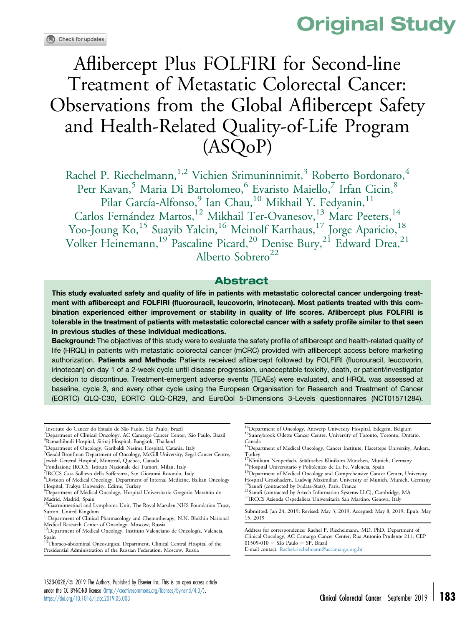

# Aflibercept Plus FOLFIRI for Second-line Treatment of Metastatic Colorectal Cancer: Observations from the Global Aflibercept Safety and Health-Related Quality-of-Life Program (ASQoP)

Rachel P. Riechelmann,<sup>1,2</sup> Vichien Srimuninnimit,<sup>3</sup> Roberto Bordonaro,<sup>4</sup> Petr Kavan,<sup>5</sup> Maria Di Bartolomeo,<sup>6</sup> Evaristo Maiello,<sup>7</sup> Irfan Cicin,<sup>8</sup> Pilar García-Alfonso,<sup>9</sup> Ian Chau,<sup>10</sup> Mikhail Y. Fedyanin,<sup>11</sup> Carlos Fernández Martos,<sup>12</sup> Mikhail Ter-Ovanesov,<sup>13</sup> Marc Peeters,<sup>14</sup> Yoo-Joung Ko,<sup>15</sup> Suayib Yalcin,<sup>16</sup> Meinolf Karthaus,<sup>17</sup> Jorge Aparicio,<sup>18</sup> Volker Heinemann,<sup>19</sup> Pascaline Picard,<sup>20</sup> Denise Bury,<sup>21</sup> Edward Drea,<sup>21</sup> Alberto Sobrero<sup>22</sup>

### Abstract

This study evaluated safety and quality of life in patients with metastatic colorectal cancer undergoing treatment with aflibercept and FOLFIRI (fluorouracil, leucovorin, irinotecan). Most patients treated with this combination experienced either improvement or stability in quality of life scores. Aflibercept plus FOLFIRI is tolerable in the treatment of patients with metastatic colorectal cancer with a safety profile similar to that seen in previous studies of these individual medications.

Background: The objectives of this study were to evaluate the safety profile of aflibercept and health-related quality of life (HRQL) in patients with metastatic colorectal cancer (mCRC) provided with aflibercept access before marketing authorization. Patients and Methods: Patients received aflibercept followed by FOLFIRI (fluorouracil, leucovorin, irinotecan) on day 1 of a 2-week cycle until disease progression, unacceptable toxicity, death, or patient/investigator decision to discontinue. Treatment-emergent adverse events (TEAEs) were evaluated, and HRQL was assessed at baseline, cycle 3, and every other cycle using the European Organisation for Research and Treatment of Cancer (EORTC) QLQ-C30, EORTC QLQ-CR29, and EuroQol 5-Dimensions 3-Levels questionnaires (NCT01571284).

1 Instituto do Cancer do Estado de São Paulo, São Paulo, Brazil

<sup>2</sup>Department of Clinical Oncology, AC Camargo Cancer Center, São Paulo, Brazil<br><sup>3</sup>Ramathibodi Hospital, Siriraj Hospital, Bangkok, Thailand

<sup>5</sup>Gerald Bronfman Department of Oncology, McGill University, Segal Cancer Centre, Jewish General Hospital, Montreal, Quebec, Canada

- <sup>6</sup>Fondazione IRCCS, Istituto Nazionale dei Tumori, Milan, Italy
- 7 IRCCS Casa Sollievo della Sofferenza, San Giovanni Rotondo, Italy
- 8 Division of Medical Oncology, Department of Internal Medicine, Balkan Oncology Hospital, Trakya University, Edirne, Turkey

Presidential Administration of the Russian Federation, Moscow, Russia

<sup>14</sup>Department of Oncology, Antwerp University Hospital, Edegem, Belgium <sup>15</sup>Sunnybrook Odette Cancer Centre, University of Toronto, Toronto, Ontario, Canada

Hospital Grosshadern, Ludwig Maximilian University of Munich, Munich, Germany<sup>20</sup>Sanofi (contracted by Ividata-Stats), Paris, France

 $^{21}$ Sanofi (contracted by Artech Information Systems LLC), Cambridge, MA  $^{22}$ IRCCS Azienda Ospedaliera Universitaria San Martino, Genova, Italy

Submitted: Jan 24, 2019; Revised: May 3, 2019; Accepted: May 8, 2019; Epub: May 15, 2019

Address for correspondence: Rachel P. Riechelmann, MD, PhD, Department of Clinical Oncology, AC Camargo Cancer Center, Rua Antonio Prudente 211, CEP  $01509-010 -$  São Paulo  $-$  SP, Brazil

E-mail contact: [Rachel.riechelmann@accamargo.org.br](mailto:Rachel.riechelmann@accamargo.org.br)

<sup>4</sup> Department of Oncology, Garibaldi Nesima Hospital, Catania, Italy

<sup>9</sup> Department of Medical Oncology, Hospital Universitario Gregorio Marañón de Madrid, Madrid, Spain<br><sup>10</sup>Gastrointestinal and Lymphoma Unit, The Royal Marsden NHS Foundation Trust,

Sutton, United Kingdom

<sup>&</sup>lt;sup>11</sup>Department of Clinical Pharmacology and Chemotherapy, N.N. Blokhin National Medical Research Center of Oncology, Moscow, Russia

<sup>&</sup>lt;sup>12</sup>Department of Medical Oncology, Instituto Valenciano de Oncología, Valencia, Spain 13Thoraco-abdominal Oncosurgical Department, Clinical Central Hospital of the

<sup>16</sup>Department of Medical Oncology, Cancer Institute, Hacettepe University, Ankara,

Turkey<br><sup>17</sup>Klinikum Neuperlach, Städtisches Klinikum München, Munich, Germany

<sup>&</sup>lt;sup>18</sup>Hospital Universitario y Politécnico de La Fe, Valencia, Spain <sup>19</sup>Department of Medical Oncology and Comprehensive Cancer Center, University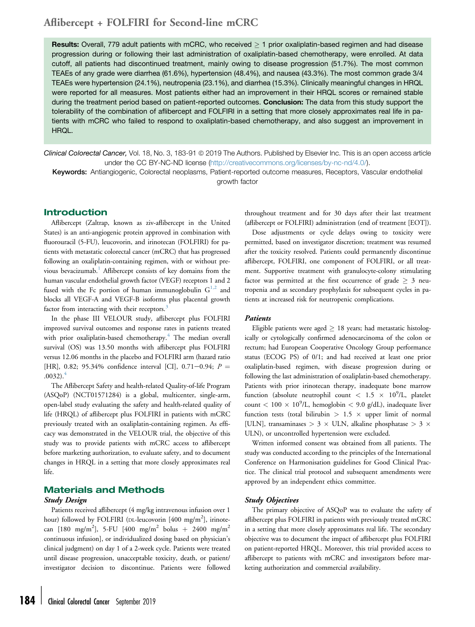Results: Overall, 779 adult patients with mCRC, who received  $\geq 1$  prior oxaliplatin-based regimen and had disease progression during or following their last administration of oxaliplatin-based chemotherapy, were enrolled. At data cutoff, all patients had discontinued treatment, mainly owing to disease progression (51.7%). The most common TEAEs of any grade were diarrhea (61.6%), hypertension (48.4%), and nausea (43.3%). The most common grade 3/4 TEAEs were hypertension (24.1%), neutropenia (23.1%), and diarrhea (15.3%). Clinically meaningful changes in HRQL were reported for all measures. Most patients either had an improvement in their HRQL scores or remained stable during the treatment period based on patient-reported outcomes. **Conclusion:** The data from this study support the tolerability of the combination of aflibercept and FOLFIRI in a setting that more closely approximates real life in patients with mCRC who failed to respond to oxaliplatin-based chemotherapy, and also suggest an improvement in HRQL.

Clinical Colorectal Cancer, Vol. 18, No. 3, 183-91 @ 2019 The Authors. Published by Elsevier Inc. This is an open access article under the CC BY-NC-ND license [\(http://creativecommons.org/licenses/by-nc-nd/4.0/](http://creativecommons.org/licenses/by-nc-nd/4.0/)).

Keywords: Antiangiogenic, Colorectal neoplasms, Patient-reported outcome measures, Receptors, Vascular endothelial growth factor

### Introduction

Aflibercept (Zaltrap, known as ziv-aflibercept in the United States) is an anti-angiogenic protein approved in combination with fluorouracil (5-FU), leucovorin, and irinotecan (FOLFIRI) for patients with metastatic colorectal cancer (mCRC) that has progressed following an oxaliplatin-containing regimen, with or without previous bevacizumab.[1](#page-8-0) Aflibercept consists of key domains from the human vascular endothelial growth factor (VEGF) receptors 1 and 2 fused with the Fc portion of human immunoglobulin  $G^{1,2}$  $G^{1,2}$  $G^{1,2}$  and blocks all VEGF-A and VEGF-B isoforms plus placental growth factor from interacting with their receptors.<sup>[3](#page-8-0)</sup>

In the phase III VELOUR study, aflibercept plus FOLFIRI improved survival outcomes and response rates in patients treated with prior oxaliplatin-based chemotherapy.<sup>[4](#page-8-0)</sup> The median overall survival (OS) was 13.50 months with aflibercept plus FOLFIRI versus 12.06 months in the placebo and FOLFIRI arm (hazard ratio [HR], 0.82; 95.34% confidence interval [CI], 0.71-0.94;  $P =$  $.0032$ ).<sup>[4](#page-8-0)</sup>

The Aflibercept Safety and health-related Quality-of-life Program (ASQoP) (NCT01571284) is a global, multicenter, single-arm, open-label study evaluating the safety and health-related quality of life (HRQL) of aflibercept plus FOLFIRI in patients with mCRC previously treated with an oxaliplatin-containing regimen. As efficacy was demonstrated in the VELOUR trial, the objective of this study was to provide patients with mCRC access to aflibercept before marketing authorization, to evaluate safety, and to document changes in HRQL in a setting that more closely approximates real life.

### Materials and Methods

### Study Design

Patients received aflibercept (4 mg/kg intravenous infusion over 1 hour) followed by FOLFIRI (DL-leucovorin [400 mg/m<sup>2</sup>], irinotecan [180 mg/m<sup>2</sup>], 5-FU [400 mg/m<sup>2</sup> bolus + 2400 mg/m<sup>2</sup> continuous infusion], or individualized dosing based on physician's clinical judgment) on day 1 of a 2-week cycle. Patients were treated until disease progression, unacceptable toxicity, death, or patient/ investigator decision to discontinue. Patients were followed

throughout treatment and for 30 days after their last treatment (aflibercept or FOLFIRI) administration (end of treatment [EOT]).

Dose adjustments or cycle delays owing to toxicity were permitted, based on investigator discretion; treatment was resumed after the toxicity resolved. Patients could permanently discontinue aflibercept, FOLFIRI, one component of FOLFIRI, or all treatment. Supportive treatment with granulocyte-colony stimulating factor was permitted at the first occurrence of grade  $\geq$  3 neutropenia and as secondary prophylaxis for subsequent cycles in patients at increased risk for neutropenic complications.

### Patients

Eligible patients were aged  $\geq$  18 years; had metastatic histologically or cytologically confirmed adenocarcinoma of the colon or rectum; had European Cooperative Oncology Group performance status (ECOG PS) of 0/1; and had received at least one prior oxaliplatin-based regimen, with disease progression during or following the last administration of oxaliplatin-based chemotherapy. Patients with prior irinotecan therapy, inadequate bone marrow function (absolute neutrophil count  $\langle 1.5 \times 10^9/L, \text{platelet}$ count  $< 100 \times 10^9$ /L, hemoglobin  $< 9.0$  g/dL), inadequate liver function tests (total bilirubin  $> 1.5 \times$  upper limit of normal [ULN], transaminases  $> 3 \times$  ULN, alkaline phosphatase  $> 3 \times$ ULN), or uncontrolled hypertension were excluded.

Written informed consent was obtained from all patients. The study was conducted according to the principles of the International Conference on Harmonisation guidelines for Good Clinical Practice. The clinical trial protocol and subsequent amendments were approved by an independent ethics committee.

### Study Objectives

The primary objective of ASQoP was to evaluate the safety of aflibercept plus FOLFIRI in patients with previously treated mCRC in a setting that more closely approximates real life. The secondary objective was to document the impact of aflibercept plus FOLFIRI on patient-reported HRQL. Moreover, this trial provided access to aflibercept to patients with mCRC and investigators before marketing authorization and commercial availability.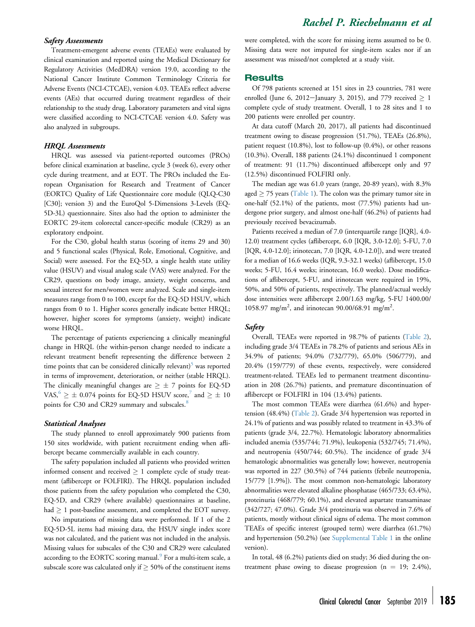#### Safety Assessments

Treatment-emergent adverse events (TEAEs) were evaluated by clinical examination and reported using the Medical Dictionary for Regulatory Activities (MedDRA) version 19.0, according to the National Cancer Institute Common Terminology Criteria for Adverse Events (NCI-CTCAE), version 4.03. TEAEs reflect adverse events (AEs) that occurred during treatment regardless of their relationship to the study drug. Laboratory parameters and vital signs were classified according to NCI-CTCAE version 4.0. Safety was also analyzed in subgroups.

#### HRQL Assessments

HRQL was assessed via patient-reported outcomes (PROs) before clinical examination at baseline, cycle 3 (week 6), every other cycle during treatment, and at EOT. The PROs included the European Organisation for Research and Treatment of Cancer (EORTC) Quality of Life Questionnaire core module (QLQ-C30 [C30]; version 3) and the EuroQol 5-Dimensions 3-Levels (EQ-5D-3L) questionnaire. Sites also had the option to administer the EORTC 29-item colorectal cancer-specific module (CR29) as an exploratory endpoint.

For the C30, global health status (scoring of items 29 and 30) and 5 functional scales (Physical, Role, Emotional, Cognitive, and Social) were assessed. For the EQ-5D, a single health state utility value (HSUV) and visual analog scale (VAS) were analyzed. For the CR29, questions on body image, anxiety, weight concerns, and sexual interest for men/women were analyzed. Scale and single-item measures range from 0 to 100, except for the EQ-5D HSUV, which ranges from 0 to 1. Higher scores generally indicate better HRQL; however, higher scores for symptoms (anxiety, weight) indicate worse HRQL.

The percentage of patients experiencing a clinically meaningful change in HRQL (the within-person change needed to indicate a relevant treatment benefit representing the difference between 2 time points that can be considered clinically relevant) $5$  was reported in terms of improvement, deterioration, or neither (stable HRQL). The clinically meaningful changes are  $\geq \pm$  7 points for EQ-5D VAS,  $\delta \geq 0.074$  points for EQ-5D HSUV score,<sup>7</sup> and  $\geq \pm 10$ points for C30 and CR29 summary and subscales.<sup>[8](#page-8-0)</sup>

#### Statistical Analyses

The study planned to enroll approximately 900 patients from 150 sites worldwide, with patient recruitment ending when aflibercept became commercially available in each country.

The safety population included all patients who provided written informed consent and received  $\geq 1$  complete cycle of study treatment (aflibercept or FOLFIRI). The HRQL population included those patients from the safety population who completed the C30, EQ-5D, and CR29 (where available) questionnaires at baseline, had  $\geq 1$  post-baseline assessment, and completed the EOT survey.

No imputations of missing data were performed. If 1 of the 2 EQ-5D-5L items had missing data, the HSUV single index score was not calculated, and the patient was not included in the analysis. Missing values for subscales of the C30 and CR29 were calculated according to the EORTC scoring manual. $9$  For a multi-item scale, a subscale score was calculated only if  $\geq$  50% of the constituent items

were completed, with the score for missing items assumed to be 0. Missing data were not imputed for single-item scales nor if an assessment was missed/not completed at a study visit.

#### **Results**

Of 798 patients screened at 151 sites in 23 countries, 781 were enrolled (June 6, 2012-January 3, 2015), and 779 received  $\geq 1$ complete cycle of study treatment. Overall, 1 to 28 sites and 1 to 200 patients were enrolled per country.

At data cutoff (March 20, 2017), all patients had discontinued treatment owing to disease progression (51.7%), TEAEs (26.8%), patient request (10.8%), lost to follow-up (0.4%), or other reasons (10.3%). Overall, 188 patients (24.1%) discontinued 1 component of treatment: 91 (11.7%) discontinued aflibercept only and 97 (12.5%) discontinued FOLFIRI only.

The median age was 61.0 years (range, 20-89 years), with 8.3% aged  $\geq$  75 years [\(Table 1\)](#page-3-0). The colon was the primary tumor site in one-half (52.1%) of the patients, most (77.5%) patients had undergone prior surgery, and almost one-half (46.2%) of patients had previously received bevacizumab.

Patients received a median of 7.0 (interquartile range [IQR], 4.0- 12.0) treatment cycles (aflibercept, 6.0 [IQR, 3.0-12.0]; 5-FU, 7.0 [IQR, 4.0-12.0]; irinotecan, 7.0 [IQR, 4.0-12.0]), and were treated for a median of 16.6 weeks (IQR, 9.3-32.1 weeks) (aflibercept, 15.0 weeks; 5-FU, 16.4 weeks; irinotecan, 16.0 weeks). Dose modifications of aflibercept, 5-FU, and irinotecan were required in 19%, 50%, and 50% of patients, respectively. The planned/actual weekly dose intensities were aflibercept 2.00/1.63 mg/kg, 5-FU 1400.00/ 1058.97 mg/m<sup>2</sup>, and irinotecan 90.00/68.91 mg/m<sup>2</sup>.

#### Safety

Overall, TEAEs were reported in 98.7% of patients [\(Table 2\)](#page-3-0), including grade 3/4 TEAEs in 78.2% of patients and serious AEs in 34.9% of patients; 94.0% (732/779), 65.0% (506/779), and 20.4% (159/779) of these events, respectively, were considered treatment-related. TEAEs led to permanent treatment discontinuation in 208 (26.7%) patients, and premature discontinuation of aflibercept or FOLFIRI in 104 (13.4%) patients.

The most common TEAEs were diarrhea (61.6%) and hypertension (48.4%) [\(Table 2\)](#page-3-0). Grade 3/4 hypertension was reported in 24.1% of patients and was possibly related to treatment in 43.3% of patients (grade 3/4, 22.7%). Hematologic laboratory abnormalities included anemia (535/744; 71.9%), leukopenia (532/745; 71.4%), and neutropenia (450/744; 60.5%). The incidence of grade 3/4 hematologic abnormalities was generally low; however, neutropenia was reported in 227 (30.5%) of 744 patients (febrile neutropenia, 15/779 [1.9%]). The most common non-hematologic laboratory abnormalities were elevated alkaline phosphatase (465/733; 63.4%), proteinuria (468/779; 60.1%), and elevated aspartate transaminase (342/727; 47.0%). Grade 3/4 proteinuria was observed in 7.6% of patients, mostly without clinical signs of edema. The most common TEAEs of specific interest (grouped term) were diarrhea (61.7%) and hypertension (50.2%) (see [Supplemental Table 1](#page-9-0) in the online version).

In total, 48 (6.2%) patients died on study; 36 died during the ontreatment phase owing to disease progression ( $n = 19$ ; 2.4%),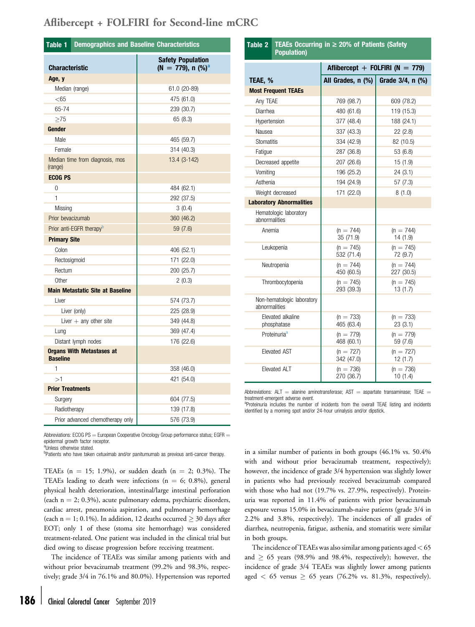<span id="page-3-0"></span>

|                         | Table 1 Demographics and Baseline Characteristics |                                                   |  |  |  |  |
|-------------------------|---------------------------------------------------|---------------------------------------------------|--|--|--|--|
| <b>Characteristic</b>   |                                                   | <b>Safety Population</b><br>(N = 779), n $(\%)^a$ |  |  |  |  |
| Age, y                  |                                                   |                                                   |  |  |  |  |
|                         | Median (range)                                    | 61.0 (20-89)                                      |  |  |  |  |
| $<$ 65                  |                                                   | 475 (61.0)                                        |  |  |  |  |
| 65-74                   |                                                   | 239 (30.7)                                        |  |  |  |  |
| >75                     |                                                   | 65 (8.3)                                          |  |  |  |  |
| Gender                  |                                                   |                                                   |  |  |  |  |
| Male                    |                                                   | 465 (59.7)                                        |  |  |  |  |
| Female                  |                                                   | 314 (40.3)                                        |  |  |  |  |
| (range)                 | Median time from diagnosis, mos                   | 13.4 (3-142)                                      |  |  |  |  |
| <b>ECOG PS</b>          |                                                   |                                                   |  |  |  |  |
| 0                       |                                                   | 484 (62.1)                                        |  |  |  |  |
| 1                       |                                                   | 292 (37.5)                                        |  |  |  |  |
| Missing                 |                                                   | 3(0.4)                                            |  |  |  |  |
| Prior bevacizumab       |                                                   | 360 (46.2)                                        |  |  |  |  |
|                         | Prior anti-EGFR therapy <sup>D</sup>              | 59 (7.6)                                          |  |  |  |  |
| <b>Primary Site</b>     |                                                   |                                                   |  |  |  |  |
| Colon                   |                                                   | 406 (52.1)                                        |  |  |  |  |
| Rectosigmoid            |                                                   | 171 (22.0)                                        |  |  |  |  |
| Rectum                  |                                                   | 200 (25.7)                                        |  |  |  |  |
| Other                   |                                                   | 2(0.3)                                            |  |  |  |  |
|                         | <b>Main Metastatic Site at Baseline</b>           |                                                   |  |  |  |  |
| Liver                   |                                                   | 574 (73.7)                                        |  |  |  |  |
|                         | Liver (only)                                      | 225 (28.9)                                        |  |  |  |  |
|                         | Liver $+$ any other site                          | 349 (44.8)                                        |  |  |  |  |
| Lung                    |                                                   | 369 (47.4)                                        |  |  |  |  |
|                         | Distant lymph nodes                               | 176 (22.6)                                        |  |  |  |  |
| <b>Baseline</b>         | <b>Organs With Metastases at</b>                  |                                                   |  |  |  |  |
| 1                       |                                                   | 358 (46.0)                                        |  |  |  |  |
| >1                      |                                                   | 421 (54.0)                                        |  |  |  |  |
| <b>Prior Treatments</b> |                                                   |                                                   |  |  |  |  |
| Surgery                 |                                                   | 604 (77.5)                                        |  |  |  |  |
| Radiotherapy            |                                                   | 139 (17.8)                                        |  |  |  |  |
|                         | Prior advanced chemotherapy only                  | 576 (73.9)                                        |  |  |  |  |

| Abbreviations: ECOG PS $=$ European Cooperative Oncology Group performance status; EGFR $=$ |  |
|---------------------------------------------------------------------------------------------|--|
| epidermal growth factor receptor.                                                           |  |

aUnless otherwise stated.

**Patients who have taken cetuximab and/or panitumumab as previous anti-cancer therapy.** 

TEAEs (n = 15; 1.9%), or sudden death (n = 2; 0.3%). The TEAEs leading to death were infections ( $n = 6$ ; 0.8%), general physical health deterioration, intestinal/large intestinal perforation (each  $n = 2$ ; 0.3%), acute pulmonary edema, psychiatric disorders, cardiac arrest, pneumonia aspiration, and pulmonary hemorrhage (each n = 1; 0.1%). In addition, 12 deaths occurred  $\geq$  30 days after EOT; only 1 of these (stoma site hemorrhage) was considered treatment-related. One patient was included in the clinical trial but died owing to disease progression before receiving treatment.

The incidence of TEAEs was similar among patients with and without prior bevacizumab treatment (99.2% and 98.3%, respectively; grade 3/4 in 76.1% and 80.0%). Hypertension was reported

|                                             |                           | Aflibercept + FOLFIRI ( $N = 779$ ) |
|---------------------------------------------|---------------------------|-------------------------------------|
| TEAE, %                                     | All Grades, n (%)         | Grade 3/4, n (%)                    |
| <b>Most Frequent TEAEs</b>                  |                           |                                     |
| Any TEAE                                    | 769 (98.7)                | 609 (78.2)                          |
| Diarrhea                                    | 480 (61.6)                | 119 (15.3)                          |
| Hypertension                                | 377 (48.4)                | 188 (24.1)                          |
| Nausea                                      | 337 (43.3)                | 22(2.8)                             |
| <b>Stomatitis</b>                           | 334 (42.9)                | 82 (10.5)                           |
| Fatigue                                     | 287 (36.8)                | 53 (6.8)                            |
| Decreased appetite                          | 207 (26.6)                | 15(1.9)                             |
| Vomiting                                    | 196 (25.2)                | 24(3.1)                             |
| Asthenia                                    | 194 (24.9)                | 57(7.3)                             |
| Weight decreased                            | 171 (22.0)                | 8(1.0)                              |
| <b>Laboratory Abnormalities</b>             |                           |                                     |
| Hematologic laboratory<br>abnormalities     |                           |                                     |
| Anemia                                      | $(n = 744)$<br>35 (71.9)  | $(n = 744)$<br>14(1.9)              |
| Leukopenia                                  | $(n = 745)$<br>532 (71.4) | $(n = 745)$<br>72 (9.7)             |
| Neutropenia                                 | $(n = 744)$<br>450 (60.5) | $(n = 744)$<br>227 (30.5)           |
| Thrombocytopenia                            | $(n = 745)$<br>293 (39.3) | $(n = 745)$<br>13(1.7)              |
| Non-hematologic laboratory<br>abnormalities |                           |                                     |
| Elevated alkaline<br>phosphatase            | $(n = 733)$<br>465 (63.4) | $(n = 733)$<br>23(3.1)              |
| Proteinuria <sup>a</sup>                    | $(n = 779)$<br>468 (60.1) | $(n = 779)$<br>59 (7.6)             |
| <b>Elevated AST</b>                         | $(n = 727)$<br>342 (47.0) | $(n = 727)$<br>12(1.7)              |
| <b>Elevated ALT</b>                         | $(n = 736)$<br>270 (36.7) | $(n = 736)$<br>10(1.4)              |

Table 2 TEAEs Occurring in  $\geq$  20% of Patients (Safety

Population)

Abbreviations:  $ALT =$  alanine aminotransferase;  $AST =$  aspartate transaminase; TEAE  $=$ treatment-emergent adverse event.

<sup>a</sup>Proteinuria includes the number of incidents from the overall TEAE listing and incidents identified by a morning spot and/or 24-hour urinalysis and/or dipstick.

in a similar number of patients in both groups (46.1% vs. 50.4% with and without prior bevacizumab treatment, respectively); however, the incidence of grade 3/4 hypertension was slightly lower in patients who had previously received bevacizumab compared with those who had not (19.7% vs. 27.9%, respectively). Proteinuria was reported in 11.4% of patients with prior bevacizumab exposure versus 15.0% in bevacizumab-naive patients (grade 3/4 in 2.2% and 3.8%, respectively). The incidences of all grades of diarrhea, neutropenia, fatigue, asthenia, and stomatitis were similar in both groups.

The incidence of TEAEs was also similar among patients aged  $<$  65 and  $\geq$  65 years (98.9% and 98.4%, respectively); however, the incidence of grade 3/4 TEAEs was slightly lower among patients aged  $\langle 65 \rangle$  versus  $\geq 65$  years (76.2% vs. 81.3%, respectively).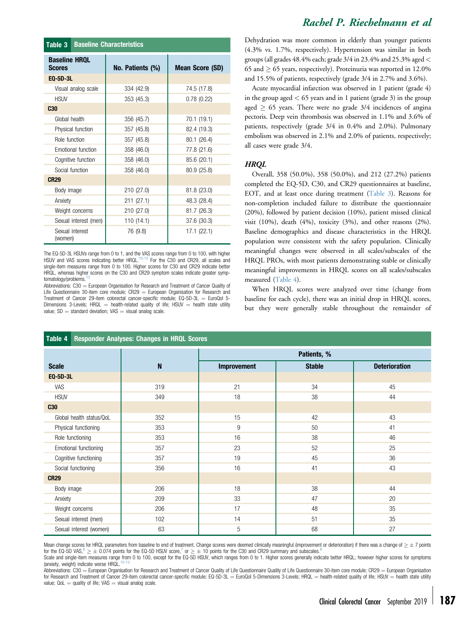| <b>Table 3</b> Baseline Characteristics |                  |                        |  |  |  |
|-----------------------------------------|------------------|------------------------|--|--|--|
| <b>Baseline HRQL</b><br><b>Scores</b>   | No. Patients (%) | <b>Mean Score (SD)</b> |  |  |  |
| <b>EQ-5D-3L</b>                         |                  |                        |  |  |  |
| Visual analog scale                     | 334 (42.9)       | 74.5 (17.8)            |  |  |  |
| <b>HSUV</b>                             | 353 (45.3)       | 0.78(0.22)             |  |  |  |
| <b>C30</b>                              |                  |                        |  |  |  |
| Global health                           | 356 (45.7)       | 70.1 (19.1)            |  |  |  |
| Physical function                       | 357 (45.8)       | 82.4 (19.3)            |  |  |  |
| Role function                           | 357 (45.8)       | 80.1 (26.4)            |  |  |  |
| Emotional function                      | 358 (46.0)       | 77.8 (21.6)            |  |  |  |
| Cognitive function                      | 358 (46.0)       | 85.6 (20.1)            |  |  |  |
| Social function                         | 358 (46.0)       | 80.9 (25.8)            |  |  |  |
| <b>CR29</b>                             |                  |                        |  |  |  |
| Body image                              | 210 (27.0)       | 81.8 (23.0)            |  |  |  |
| Anxiety                                 | 211 (27.1)       | 48.3 (28.4)            |  |  |  |
| Weight concerns                         | 210 (27.0)       | 81.7 (26.3)            |  |  |  |
| Sexual interest (men)                   | 110 (14.1)       | 37.6 (30.3)            |  |  |  |
| Sexual interest<br>(women)              | 76 (9.8)         | 17.1 (22.1)            |  |  |  |

The EQ-5D-3L HSUVs range from 0 to 1, and the VAS scores range from 0 to 100, with higher<br>HSUV and VAS scores indicating better HRQL.<sup>[10-12](#page-8-0)</sup> For the C30 and CR29, all scales and single-item measures range from 0 to 100. Higher scores for C30 and CR29 indicate better HRQL, whereas higher scores on the C30 and CR29 symptom scales indicate greater symptomatology/problems.

Abbreviations:  $C30 =$  European Organisation for Research and Treatment of Cancer Quality of Life Questionnaire 30-item core module;  $CR29 = European Organization$  for Research and Treatment of Cancer 29-item colorectal cancer-specific module;  $EQ$ -5D-3L = EuroQol 5-Dimensions 3-Levels; HRQL  $=$  health-related quality of life; HSUV  $=$  health state utility value;  $SD =$  standard deviation; VAS  $=$  visual analog scale.

# Rachel P. Riechelmann et al

Dehydration was more common in elderly than younger patients (4.3% vs. 1.7%, respectively). Hypertension was similar in both groups (all grades 48.4% each; grade 3/4 in 23.4% and 25.3% aged < 65 and  $\geq$  65 years, respectively). Proteinuria was reported in 12.0% and 15.5% of patients, respectively (grade 3/4 in 2.7% and 3.6%).

Acute myocardial infarction was observed in 1 patient (grade 4) in the group aged  $< 65$  years and in 1 patient (grade 3) in the group aged  $\geq$  65 years. There were no grade 3/4 incidences of angina pectoris. Deep vein thrombosis was observed in 1.1% and 3.6% of patients, respectively (grade 3/4 in 0.4% and 2.0%). Pulmonary embolism was observed in 2.1% and 2.0% of patients, respectively; all cases were grade 3/4.

### **HRQL**

Overall, 358 (50.0%), 358 (50.0%), and 212 (27.2%) patients completed the EQ-5D, C30, and CR29 questionnaires at baseline, EOT, and at least once during treatment (Table 3). Reasons for non-completion included failure to distribute the questionnaire (20%), followed by patient decision (10%), patient missed clinical visit (10%), death (4%), toxicity (3%), and other reasons (2%). Baseline demographics and disease characteristics in the HRQL population were consistent with the safety population. Clinically meaningful changes were observed in all scales/subscales of the HRQL PROs, with most patients demonstrating stable or clinically meaningful improvements in HRQL scores on all scales/subscales measured (Table 4).

When HRQL scores were analyzed over time (change from baseline for each cycle), there was an initial drop in HRQL scores, but they were generally stable throughout the remainder of

| Table 4<br><b>Responder Analyses: Changes in HRQL Scores</b> |             |                    |               |                      |  |  |  |  |  |  |  |
|--------------------------------------------------------------|-------------|--------------------|---------------|----------------------|--|--|--|--|--|--|--|
|                                                              |             |                    | Patients, %   |                      |  |  |  |  |  |  |  |
| <b>Scale</b>                                                 | $\mathsf N$ | <b>Improvement</b> | <b>Stable</b> | <b>Deterioration</b> |  |  |  |  |  |  |  |
| EQ-5D-3L                                                     |             |                    |               |                      |  |  |  |  |  |  |  |
| VAS                                                          | 319         | 21                 | 34            | 45                   |  |  |  |  |  |  |  |
| <b>HSUV</b>                                                  | 349         | 18                 | 38            | 44                   |  |  |  |  |  |  |  |
| C30                                                          |             |                    |               |                      |  |  |  |  |  |  |  |
| Global health status/QoL                                     | 352         | 15                 | 42            | 43                   |  |  |  |  |  |  |  |
| Physical functioning                                         | 353         | 9                  | 50            | 41                   |  |  |  |  |  |  |  |
| Role functioning                                             | 353         | 16                 | 38            | 46                   |  |  |  |  |  |  |  |
| Emotional functioning                                        | 357         | 23                 | 52            | 25                   |  |  |  |  |  |  |  |
| Cognitive functioning                                        | 357         | 19                 | 45            | 36                   |  |  |  |  |  |  |  |
| Social functioning                                           | 356         | 16                 | 41            | 43                   |  |  |  |  |  |  |  |
| <b>CR29</b>                                                  |             |                    |               |                      |  |  |  |  |  |  |  |
| Body image                                                   | 206         | 18                 | 38            | 44                   |  |  |  |  |  |  |  |
| Anxiety                                                      | 209         | 33                 | 47            | 20                   |  |  |  |  |  |  |  |
| Weight concerns                                              | 206         | 17                 | 48            | 35                   |  |  |  |  |  |  |  |
| Sexual interest (men)                                        | 102         | 14                 | 51            | 35                   |  |  |  |  |  |  |  |
| Sexual interest (women)                                      | 63          | 5                  | 68            | 27                   |  |  |  |  |  |  |  |

Mean change scores for HRQL parameters from baseline to end of treatment. Change scores were deemed clinically meaningful (improvement or deterioration) if there was a change of  $\geq \pm 7$  points for the EQ-5D VAS,  $6 \ge \pm 0.074$  $6 \ge \pm 0.074$  $6 \ge \pm 0.074$  $6 \ge \pm 0.074$  points for the EQ-5D HSUV score,<sup>7</sup> or  $\ge \pm 10$  points for the C30 and CR29 summary and subscales.

Scale and single-item measures range from 0 to 100, except for the EQ-5D HSUV, which ranges from 0 to 1. Higher scores generally indicate better HRQL; however higher scores for symptoms (anxiety, weight) indicate worse HRQL.<sup>1</sup>

Abbreviations: C30 = European Organisation for Research and Treatment of Cancer Quality of Life Questionnaire Quality of Life Questionnaire 30-item core module; CR29 = European Organisation for Research and Treatment of Cancer 29-item colorectal cancer-specific module; EQ-5D-3L = EuroQol 5-Dimensions 3-Levels; HRQL = health-related quality of life; HSUV = health state utility value;  $QoL =$  quality of life; VAS  $=$  visual analog scale.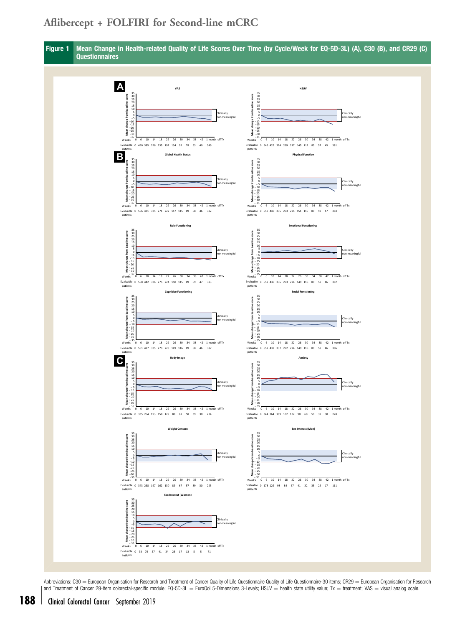<span id="page-5-0"></span>

Abbreviations: C30 = European Organisation for Research and Treatment of Cancer Quality of Life Questionnaire Quality of Life Questionnaire-30 items; CR29 = European Organisation for Research and Treatment of Cancer 29-item colorectal-specific module; EQ-5D-3L = EuroQol 5-Dimensions 3-Levels; HSUV = health state utility value; Tx = treatment; VAS = visual analog scale.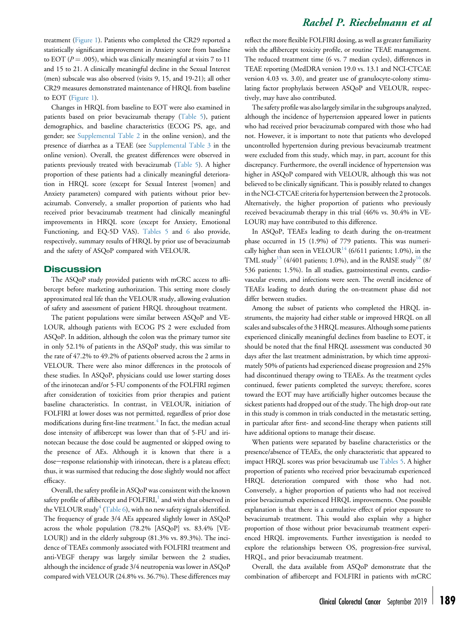treatment ([Figure 1\)](#page-5-0). Patients who completed the CR29 reported a statistically significant improvement in Anxiety score from baseline to EOT ( $P = .005$ ), which was clinically meaningful at visits 7 to 11 and 15 to 21. A clinically meaningful decline in the Sexual Interest (men) subscale was also observed (visits 9, 15, and 19-21); all other CR29 measures demonstrated maintenance of HRQL from baseline to EOT ([Figure 1](#page-5-0)).

Changes in HRQL from baseline to EOT were also examined in patients based on prior bevacizumab therapy ([Table 5\)](#page-7-0), patient demographics, and baseline characteristics (ECOG PS, age, and gender; see [Supplemental Table 2](#page-10-0) in the online version), and the presence of diarrhea as a TEAE (see [Supplemental Table 3](#page-11-0) in the online version). Overall, the greatest differences were observed in patients previously treated with bevacizumab ([Table 5](#page-7-0)). A higher proportion of these patients had a clinically meaningful deterioration in HRQL score (except for Sexual Interest [women] and Anxiety parameters) compared with patients without prior bevacizumab. Conversely, a smaller proportion of patients who had received prior bevacizumab treatment had clinically meaningful improvements in HRQL score (except for Anxiety, Emotional Functioning, and EQ-5D VAS). [Tables 5](#page-7-0) and [6](#page-7-0) also provide, respectively, summary results of HRQL by prior use of bevacizumab and the safety of ASQoP compared with VELOUR.

#### **Discussion**

The ASQoP study provided patients with mCRC access to aflibercept before marketing authorization. This setting more closely approximated real life than the VELOUR study, allowing evaluation of safety and assessment of patient HRQL throughout treatment.

The patient populations were similar between ASQoP and VE-LOUR, although patients with ECOG PS 2 were excluded from ASQoP. In addition, although the colon was the primary tumor site in only 52.1% of patients in the ASQoP study, this was similar to the rate of 47.2% to 49.2% of patients observed across the 2 arms in VELOUR. There were also minor differences in the protocols of these studies. In ASQoP, physicians could use lower starting doses of the irinotecan and/or 5-FU components of the FOLFIRI regimen after consideration of toxicities from prior therapies and patient baseline characteristics. In contrast, in VELOUR, initiation of FOLFIRI at lower doses was not permitted, regardless of prior dose modifications during first-line treatment.<sup>[4](#page-8-0)</sup> In fact, the median actual dose intensity of aflibercept was lower than that of 5-FU and irinotecan because the dose could be augmented or skipped owing to the presence of AEs. Although it is known that there is a dose-response relationship with irinotecan, there is a plateau effect; thus, it was surmised that reducing the dose slightly would not affect efficacy.

Overall, the safety profile in ASQoP was consistent with the known safety profile of aflibercept and  $FOLFIRI$ ,<sup>[1](#page-8-0)</sup> and with that observed in the VELOUR study<sup>4</sup> [\(Table 6](#page-7-0)), with no new safety signals identified. The frequency of grade 3/4 AEs appeared slightly lower in ASQoP across the whole population (78.2% [ASQoP] vs. 83.4% [VE-LOUR]) and in the elderly subgroup (81.3% vs. 89.3%). The incidence of TEAEs commonly associated with FOLFIRI treatment and anti-VEGF therapy was largely similar between the 2 studies, although the incidence of grade 3/4 neutropenia was lower in ASQoP compared with VELOUR (24.8% vs. 36.7%). These differences may

## Rachel P. Riechelmann et al

reflect the more flexible FOLFIRI dosing, as well as greater familiarity with the aflibercept toxicity profile, or routine TEAE management. The reduced treatment time (6 vs. 7 median cycles), differences in TEAE reporting (MedDRA version 19.0 vs. 13.1 and NCI-CTCAE version 4.03 vs. 3.0), and greater use of granulocyte-colony stimulating factor prophylaxis between ASQoP and VELOUR, respectively, may have also contributed.

The safety profile was also largely similar in the subgroups analyzed, although the incidence of hypertension appeared lower in patients who had received prior bevacizumab compared with those who had not. However, it is important to note that patients who developed uncontrolled hypertension during previous bevacizumab treatment were excluded from this study, which may, in part, account for this discrepancy. Furthermore, the overall incidence of hypertension was higher in ASQoP compared with VELOUR, although this was not believed to be clinically significant. This is possibly related to changes in the NCI-CTCAE criteria for hypertension between the 2 protocols. Alternatively, the higher proportion of patients who previously received bevacizumab therapy in this trial (46% vs. 30.4% in VE-LOUR) may have contributed to this difference.

In ASQoP, TEAEs leading to death during the on-treatment phase occurred in 15 (1.9%) of 779 patients. This was numeri-cally higher than seen in VELOUR<sup>[14](#page-8-0)</sup> (6/611 patients; 1.0%), in the TML study<sup>[15](#page-8-0)</sup> (4/401 patients; 1.0%), and in the RAISE study<sup>[16](#page-8-0)</sup> (8/ 536 patients; 1.5%). In all studies, gastrointestinal events, cardiovascular events, and infections were seen. The overall incidence of TEAEs leading to death during the on-treatment phase did not differ between studies.

Among the subset of patients who completed the HRQL instruments, the majority had either stable or improved HRQL on all scales and subscales of the 3 HRQL measures. Although some patients experienced clinically meaningful declines from baseline to EOT, it should be noted that the final HRQL assessment was conducted 30 days after the last treatment administration, by which time approximately 50% of patients had experienced disease progression and 25% had discontinued therapy owing to TEAEs. As the treatment cycles continued, fewer patients completed the surveys; therefore, scores toward the EOT may have artificially higher outcomes because the sickest patients had dropped out of the study. The high drop-out rate in this study is common in trials conducted in the metastatic setting, in particular after first- and second-line therapy when patients still have additional options to manage their disease.

When patients were separated by baseline characteristics or the presence/absence of TEAEs, the only characteristic that appeared to impact HRQL scores was prior bevacizumab use [Tables 5.](#page-7-0) A higher proportion of patients who received prior bevacizumab experienced HRQL deterioration compared with those who had not. Conversely, a higher proportion of patients who had not received prior bevacizumab experienced HRQL improvements. One possible explanation is that there is a cumulative effect of prior exposure to bevacizumab treatment. This would also explain why a higher proportion of those without prior bevacizumab treatment experienced HRQL improvements. Further investigation is needed to explore the relationships between OS, progression-free survival, HRQL, and prior bevacizumab treatment.

Overall, the data available from ASQoP demonstrate that the combination of aflibercept and FOLFIRI in patients with mCRC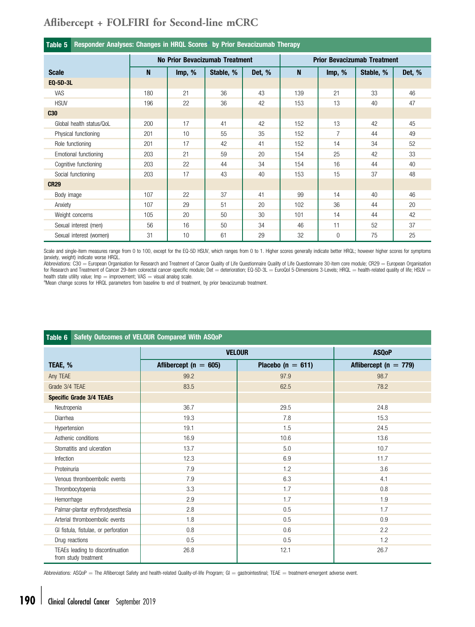<span id="page-7-0"></span>

| Responder Analyses: Changes in HRQL Scores <sup>a</sup> by Prior Bevacizumab Therapy<br>Table 5 |     |        |                                |        |                                    |                |           |        |  |  |  |
|-------------------------------------------------------------------------------------------------|-----|--------|--------------------------------|--------|------------------------------------|----------------|-----------|--------|--|--|--|
|                                                                                                 |     |        | No Prior Bevacizumab Treatment |        | <b>Prior Bevacizumab Treatment</b> |                |           |        |  |  |  |
| <b>Scale</b>                                                                                    | N   | Imp, % | Stable, %                      | Det, % | $\mathbf{N}$                       | Imp, %         | Stable, % | Det, % |  |  |  |
| EQ-5D-3L                                                                                        |     |        |                                |        |                                    |                |           |        |  |  |  |
| VAS                                                                                             | 180 | 21     | 36                             | 43     | 139                                | 21             | 33        | 46     |  |  |  |
| <b>HSUV</b>                                                                                     | 196 | 22     | 36                             | 42     | 153                                | 13             | 40        | 47     |  |  |  |
| <b>C30</b>                                                                                      |     |        |                                |        |                                    |                |           |        |  |  |  |
| Global health status/QoL                                                                        | 200 | 17     | 41                             | 42     | 152                                | 13             | 42        | 45     |  |  |  |
| Physical functioning                                                                            | 201 | 10     | 55                             | 35     | 152                                | $\overline{7}$ | 44        | 49     |  |  |  |
| Role functioning                                                                                | 201 | 17     | 42                             | 41     | 152                                | 14             | 34        | 52     |  |  |  |
| Emotional functioning                                                                           | 203 | 21     | 59                             | 20     | 154                                | 25             | 42        | 33     |  |  |  |
| Cognitive functioning                                                                           | 203 | 22     | 44                             | 34     | 154                                | 16             | 44        | 40     |  |  |  |
| Social functioning                                                                              | 203 | 17     | 43                             | 40     | 153                                | 15             | 37        | 48     |  |  |  |
| <b>CR29</b>                                                                                     |     |        |                                |        |                                    |                |           |        |  |  |  |
| Body image                                                                                      | 107 | 22     | 37                             | 41     | 99                                 | 14             | 40        | 46     |  |  |  |
| Anxiety                                                                                         | 107 | 29     | 51                             | 20     | 102                                | 36             | 44        | 20     |  |  |  |
| Weight concerns                                                                                 | 105 | 20     | 50                             | 30     | 101                                | 14             | 44        | 42     |  |  |  |
| Sexual interest (men)                                                                           | 56  | 16     | 50                             | 34     | 46                                 | 11             | 52        | 37     |  |  |  |
| Sexual interest (women)                                                                         | 31  | 10     | 61                             | 29     | 32                                 | $\overline{0}$ | 75        | 25     |  |  |  |

Scale and single-item measures range from 0 to 100, except for the EQ-5D HSUV, which ranges from 0 to 1. Higher scores generally indicate better HRQL; however higher scores for symptoms

(anxiety, weight) indicate worse HRQL.<br>Abbreviations: C30 = European Organisation for Research and Treatment of Cancer Quality of Life Questionnaire Quality of Life Questionnaire 30-item core module; CR29 = European Organi for Research and Treatment of Cancer 29-item colorectal cancer-specific module; Det = deterioration; EQ-5D-3L = EuroQol 5-Dimensions 3-Levels; HRQL = health-related quality of life; HSUV =

health state utility value; Imp = improvement; VAS = visual analog scale.<br>ªMean change scores for HRQL parameters from baseline to end of treatment, by prior bevacizumab treatment.

| Table 6<br>Safety Outcomes of VELOUR Compared With ASQoP |                           |                       |                           |  |  |  |  |  |  |  |
|----------------------------------------------------------|---------------------------|-----------------------|---------------------------|--|--|--|--|--|--|--|
|                                                          | <b>VELOUR</b>             |                       |                           |  |  |  |  |  |  |  |
| TEAE, %                                                  | Aflibercept ( $n = 605$ ) | Placebo ( $n = 611$ ) | Aflibercept ( $n = 779$ ) |  |  |  |  |  |  |  |
| Any TEAE                                                 | 99.2                      | 97.9                  | 98.7                      |  |  |  |  |  |  |  |
| Grade 3/4 TEAE                                           | 83.5                      | 62.5                  | 78.2                      |  |  |  |  |  |  |  |
| <b>Specific Grade 3/4 TEAEs</b>                          |                           |                       |                           |  |  |  |  |  |  |  |
| Neutropenia                                              | 36.7                      | 29.5                  | 24.8                      |  |  |  |  |  |  |  |
| Diarrhea                                                 | 19.3                      | 7.8                   | 15.3                      |  |  |  |  |  |  |  |
| Hypertension                                             | 19.1                      | 1.5                   | 24.5                      |  |  |  |  |  |  |  |
| Asthenic conditions                                      | 16.9                      | 10.6                  | 13.6                      |  |  |  |  |  |  |  |
| Stomatitis and ulceration                                | 13.7                      | 5.0                   | 10.7                      |  |  |  |  |  |  |  |
| Infection                                                | 12.3                      | 6.9                   | 11.7                      |  |  |  |  |  |  |  |
| Proteinuria                                              | 7.9                       | 1.2                   | 3.6                       |  |  |  |  |  |  |  |
| Venous thromboembolic events                             | 7.9                       | 6.3                   | 4.1                       |  |  |  |  |  |  |  |
| Thrombocytopenia                                         | 3.3                       | 1.7                   | 0.8                       |  |  |  |  |  |  |  |
| Hemorrhage                                               | 2.9                       | 1.7                   | 1.9                       |  |  |  |  |  |  |  |
| Palmar-plantar erythrodysesthesia                        | 2.8                       | 0.5                   | 1.7                       |  |  |  |  |  |  |  |
| Arterial thromboembolic events                           | 1.8                       | 0.5                   | 0.9                       |  |  |  |  |  |  |  |
| GI fistula, fistulae, or perforation                     | 0.8                       | 0.6                   | 2.2                       |  |  |  |  |  |  |  |
| Drug reactions                                           | 0.5                       | 0.5                   | 1.2                       |  |  |  |  |  |  |  |
| TEAEs leading to discontinuation<br>from study treatment | 26.8                      | 12.1                  | 26.7                      |  |  |  |  |  |  |  |

Abbreviations: ASQoP = The Aflibercept Safety and health-related Quality-of-life Program;  $GI = gas$ rointestinal; TEAE = treatment-emergent adverse event.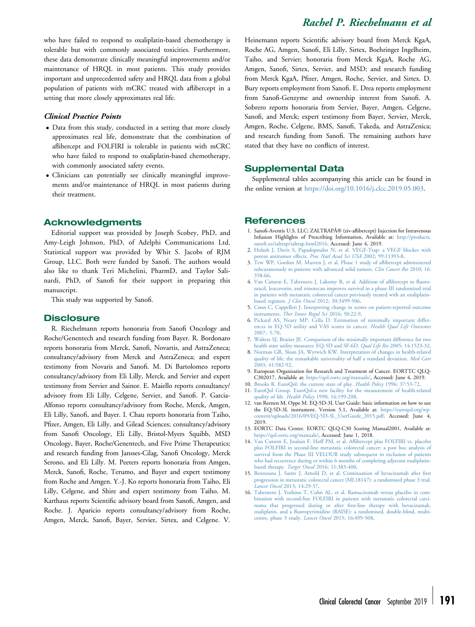<span id="page-8-0"></span>who have failed to respond to oxaliplatin-based chemotherapy is tolerable but with commonly associated toxicities. Furthermore, these data demonstrate clinically meaningful improvements and/or maintenance of HRQL in most patients. This study provides important and unprecedented safety and HRQL data from a global population of patients with mCRC treated with aflibercept in a setting that more closely approximates real life.

#### Clinical Practice Points

- Data from this study, conducted in a setting that more closely approximates real life, demonstrate that the combination of aflibercept and FOLFIRI is tolerable in patients with mCRC who have failed to respond to oxaliplatin-based chemotherapy, with commonly associated safety events.
- Clinicians can potentially see clinically meaningful improvements and/or maintenance of HRQL in most patients during their treatment.

### Acknowledgments

Editorial support was provided by Joseph Scobey, PhD, and Amy-Leigh Johnson, PhD, of Adelphi Communications Ltd. Statistical support was provided by Whit S. Jacobs of RJM Group, LLC. Both were funded by Sanofi. The authors would also like to thank Teri Michelini, PharmD, and Taylor Salinardi, PhD, of Sanofi for their support in preparing this manuscript.

This study was supported by Sanofi.

#### **Disclosure**

R. Riechelmann reports honoraria from Sanofi Oncology and Roche/Genentech and research funding from Bayer. R. Bordonaro reports honoraria from Merck, Sanofi, Novartis, and AstraZeneca; consultancy/advisory from Merck and AstraZeneca; and expert testimony from Novaris and Sanofi. M. Di Bartolomeo reports consultancy/advisory from Eli Lilly, Merck, and Servier and expert testimony from Servier and Sainor. E. Maiello reports consultancy/ advisory from Eli Lilly, Celgene, Servier, and Sanofi. P. Garcia-Alfonso reports consultancy/advisory from Roche, Merck, Amgen, Eli Lilly, Sanofi, and Bayer. I. Chau reports honoraria from Taiho, Pfizer, Amgen, Eli Lilly, and Gilead Sciences; consultancy/advisory from Sanofi Oncology, Eli Lilly, Bristol-Myers Squibb, MSD Oncology, Bayer, Roche/Genentech, and Five Prime Therapeutics; and research funding from Jansses-Cilag, Sanofi Oncology, Merck Serono, and Eli Lilly. M. Peeters reports honoraria from Amgen, Merck, Sanofi, Roche, Terumo, and Bayer and expert testimony from Roche and Amgen. Y.-J. Ko reports honoraria from Taiho, Eli Lilly, Celgene, and Shire and expert testimony from Taiho. M. Karthaus reports Scientific advisory board from Sanofi, Amgen, and Roche. J. Aparicio reports consultancy/advisory from Roche, Amgen, Merck, Sanofi, Bayer, Servier, Sirtex, and Celgene. V.

# Heinemann reports Scientific advisory board from Merck KgaA, Rachel P. Riechelmann et al

Roche AG, Amgen, Sanofi, Eli Lilly, Sirtex, Boehringer Ingelheim, Taiho, and Servier; honoraria from Merck KgaA, Roche AG, Amgen, Sanofi, Sirtex, Servier, and MSD; and research funding from Merck KgaA, Pfizer, Amgen, Roche, Servier, and Sirtex. D. Bury reports employment from Sanofi. E. Drea reports employment from Sanofi-Genzyme and ownership interest from Sanofi. A. Sobrero reports honoraria from Servier, Bayer, Amgen, Celgene, Sanofi, and Merck; expert testimony from Bayer, Servier, Merck, Amgen, Roche, Celgene, BMS, Sanofi, Takeda, and AstraZenica; and research funding from Sanofi. The remaining authors have stated that they have no conflicts of interest.

### Supplemental Data

Supplemental tables accompanying this article can be found in the online version at [https://doi.org/10.1016/j.clcc.2019.05.003.](https://doi.org/10.1016/j.clcc.2019.05.003)

#### **References**

- 1. Sanofi-Aventis U.S. LLC: ZALTRAP® (ziv-aflibercept) Injection for Intravenous Infusion Highlights of Prescribing Information, Available at: [http://products.](http://products.sanofi.us/zaltrap/zaltrap.html2016) sanofi[.us/zaltrap/zaltrap.html2016](http://products.sanofi.us/zaltrap/zaltrap.html2016). Accessed: June 4, 2019.
- 2. [Holash J, Davis S, Papadopoulos N, et al. VEGF-Trap: a VEGF blocker with](http://refhub.elsevier.com/S1533-0028(19)30023-4/sref2) [potent antitumor effects.](http://refhub.elsevier.com/S1533-0028(19)30023-4/sref2) Proc Natl Acad Sci USA 2002; 99:11393-8.
- 3. [Tew WP, Gordon M, Murren J, et al. Phase 1 study of a](http://refhub.elsevier.com/S1533-0028(19)30023-4/sref3)flibercept administered [subcutaneously to patients with advanced solid tumors.](http://refhub.elsevier.com/S1533-0028(19)30023-4/sref3) Clin Cancer Res 2010; 16: [358-66](http://refhub.elsevier.com/S1533-0028(19)30023-4/sref3).
- 4. [Van Cutsem E, Tabernero J, Lakomy R, et al. Addition of a](http://refhub.elsevier.com/S1533-0028(19)30023-4/sref4)flibercept to fluoro[uracil, leucovorin, and irinotecan improves survival in a phase III randomized trial](http://refhub.elsevier.com/S1533-0028(19)30023-4/sref4) [in patients with metastatic colorectal cancer previously treated with an oxaliplatin](http://refhub.elsevier.com/S1533-0028(19)30023-4/sref4)based regimen. J Clin Oncol [2012; 30:3499-506](http://refhub.elsevier.com/S1533-0028(19)30023-4/sref4).
- 5. [Coon C, Cappelleri J. Interpreting change in scores on patient-reported outcome](http://refhub.elsevier.com/S1533-0028(19)30023-4/sref5)
- instruments. [Ther Innov Regul Sci](http://refhub.elsevier.com/S1533-0028(19)30023-4/sref5) 2016; 50:22-9.<br>6. [Pickard AS, Neary MP, Cella D. Estimation of minimally important differ](http://refhub.elsevier.com/S1533-0028(19)30023-4/sref6)[ences in EQ-5D utility and VAS scores in cancer.](http://refhub.elsevier.com/S1533-0028(19)30023-4/sref6) Health Qual Life Outcomes [2007; 5:70.](http://refhub.elsevier.com/S1533-0028(19)30023-4/sref6)
- 7. [Walters SJ, Brazier JE. Comparison of the minimally important difference for two](http://refhub.elsevier.com/S1533-0028(19)30023-4/sref7) [health state utility measures: EQ-5D and SF-6D.](http://refhub.elsevier.com/S1533-0028(19)30023-4/sref7) Qual Life Res 2005; 14:1523-32.
- 8. [Norman GR, Sloan JA, Wyrwich KW. Interpretation of changes in health-related](http://refhub.elsevier.com/S1533-0028(19)30023-4/sref8) [quality of life: the remarkable universality of half a standard deviation.](http://refhub.elsevier.com/S1533-0028(19)30023-4/sref8) Med Care [2003; 41:582-92](http://refhub.elsevier.com/S1533-0028(19)30023-4/sref8).
- 9. European Organisation for Research and Treatment of Cancer. EORTTC QLQ-C302017, Available at: <https://qol.eortc.org/manuals/>, Accessed: June 4, 2019.
- 10. [Brooks R. EuroQol: the current state of play.](http://refhub.elsevier.com/S1533-0028(19)30023-4/sref10) Health Policy 1996; 37:53-72.
- 11. [EuroQol Group. EuroQol-a new facility for the measurement of health-related](http://refhub.elsevier.com/S1533-0028(19)30023-4/sref11) quality of life. Health Policy [1990; 16:199-208](http://refhub.elsevier.com/S1533-0028(19)30023-4/sref11).
- 12. van Reenen M, Oppe M. EQ-5D-3L User Guide: basic information on how to use the EQ-5D-3L instrument. Version 5.1, Available at: [https://euroqol.org/wp](https://euroqol.org/wp-content/uploads/2016/09/EQ-5D-3L_UserGuide_2015.pdf)[content/uploads/2016/09/EQ-5D-3L\\_UserGuide\\_2015.pdf.](https://euroqol.org/wp-content/uploads/2016/09/EQ-5D-3L_UserGuide_2015.pdf) Accessed: June 4, 2019.
- 13. EORTC Data Center. EORTC QLQ-C30 Scoring Manual2001, Available at: <https://qol.eortc.org/manuals/>, Accessed: June 1, 2018.
- 14. [Van Cutsem E, Joulain F, Hoff PM, et al. A](http://refhub.elsevier.com/S1533-0028(19)30023-4/sref14)flibercept plus FOLFIRI vs. placebo [plus FOLFIRI in second-line metastatic colorectal cancer: a post hoc analysis of](http://refhub.elsevier.com/S1533-0028(19)30023-4/sref14) [survival from the Phase III VELOUR study subsequent to exclusion of patients](http://refhub.elsevier.com/S1533-0028(19)30023-4/sref14) [who had recurrence during or within 6 months of completing adjuvant oxaliplatin](http://refhub.elsevier.com/S1533-0028(19)30023-4/sref14)based therapy. Target Oncol [2016; 11:383-400](http://refhub.elsevier.com/S1533-0028(19)30023-4/sref14).
- 15. [Bennouna J, Sastre J, Arnold D, et al. Continuation of bevacizumab after](http://refhub.elsevier.com/S1533-0028(19)30023-4/sref15) first [progression in metastatic colorectal cancer \(ML18147\): a randomised phase 3 trial.](http://refhub.elsevier.com/S1533-0028(19)30023-4/sref15) Lancet Oncol [2013; 14:29-37.](http://refhub.elsevier.com/S1533-0028(19)30023-4/sref15)
- 16. [Tabernero J, Yoshino T, Cohn AL, et al. Ramucirumab versus placebo in com](http://refhub.elsevier.com/S1533-0028(19)30023-4/sref16)[bination with second-line FOLFIRI in patients with metastatic colorectal carci](http://refhub.elsevier.com/S1533-0028(19)30023-4/sref16)[noma that progressed during or after](http://refhub.elsevier.com/S1533-0028(19)30023-4/sref16) first-line therapy with bevacizumab, oxaliplatin, and a fl[uoropyrimidine \(RAISE\): a randomised, double-blind, multi](http://refhub.elsevier.com/S1533-0028(19)30023-4/sref16)[centre, phase 3 study.](http://refhub.elsevier.com/S1533-0028(19)30023-4/sref16) Lancet Oncol 2015; 16:499-508.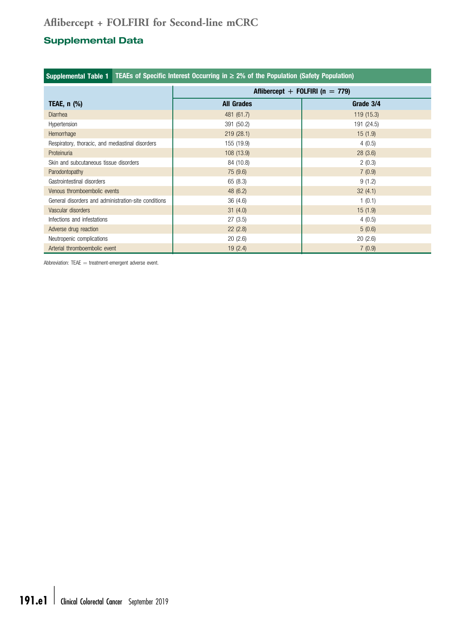# <span id="page-9-0"></span>Supplemental Data

| TEAEs of Specific Interest Occurring in $\geq 2\%$ of the Population (Safety Population)<br><b>Supplemental Table 1</b> |                                     |            |  |  |  |  |  |  |  |  |
|-------------------------------------------------------------------------------------------------------------------------|-------------------------------------|------------|--|--|--|--|--|--|--|--|
|                                                                                                                         | Aflibercept + FOLFIRI ( $n = 779$ ) |            |  |  |  |  |  |  |  |  |
| TEAE, $n$ $%$                                                                                                           | <b>All Grades</b>                   | Grade 3/4  |  |  |  |  |  |  |  |  |
| <b>Diarrhea</b>                                                                                                         | 481 (61.7)                          | 119(15.3)  |  |  |  |  |  |  |  |  |
| Hypertension                                                                                                            | 391 (50.2)                          | 191 (24.5) |  |  |  |  |  |  |  |  |
| Hemorrhage                                                                                                              | 219(28.1)                           | 15(1.9)    |  |  |  |  |  |  |  |  |
| Respiratory, thoracic, and mediastinal disorders                                                                        | 155 (19.9)                          | 4(0.5)     |  |  |  |  |  |  |  |  |
| Proteinuria                                                                                                             | 108 (13.9)                          | 28(3.6)    |  |  |  |  |  |  |  |  |
| Skin and subcutaneous tissue disorders                                                                                  | 84 (10.8)                           | 2(0.3)     |  |  |  |  |  |  |  |  |
| Parodontopathy                                                                                                          | 75 (9.6)                            | 7(0.9)     |  |  |  |  |  |  |  |  |
| Gastrointestinal disorders                                                                                              | 65(8.3)                             | 9(1.2)     |  |  |  |  |  |  |  |  |
| Venous thromboembolic events                                                                                            | 48 (6.2)                            | 32(4.1)    |  |  |  |  |  |  |  |  |
| General disorders and administration-site conditions                                                                    | 36(4.6)                             | 1(0.1)     |  |  |  |  |  |  |  |  |
| Vascular disorders                                                                                                      | 31(4.0)                             | 15(1.9)    |  |  |  |  |  |  |  |  |
| Infections and infestations                                                                                             | 27(3.5)                             | 4(0.5)     |  |  |  |  |  |  |  |  |
| Adverse drug reaction                                                                                                   | 22(2.8)                             | 5(0.6)     |  |  |  |  |  |  |  |  |
| Neutropenic complications                                                                                               | 20(2.6)                             | 20(2.6)    |  |  |  |  |  |  |  |  |
| Arterial thromboembolic event                                                                                           | 19(2.4)                             | 7(0.9)     |  |  |  |  |  |  |  |  |

Abbreviation:  $TEAE = treatment$ -emergent adverse event.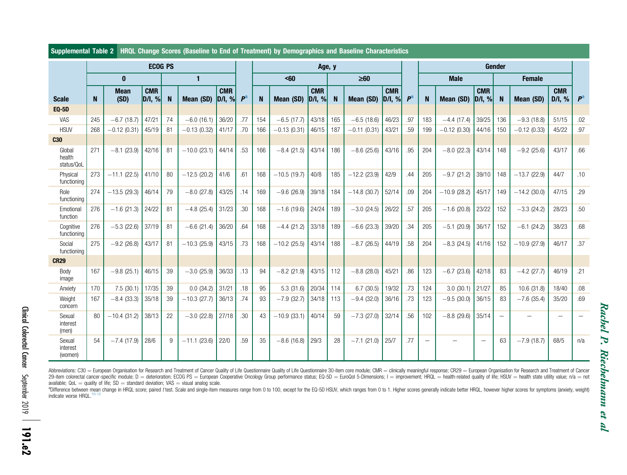|                                | <b>ECOG PS</b> |                     |                                      |    |                |                              |                | Age, y |                  |                           |          |                | Gender                    |                |     |               |                                      |     |               |                      |                |
|--------------------------------|----------------|---------------------|--------------------------------------|----|----------------|------------------------------|----------------|--------|------------------|---------------------------|----------|----------------|---------------------------|----------------|-----|---------------|--------------------------------------|-----|---------------|----------------------|----------------|
|                                |                | $\bf{0}$            |                                      |    | $\mathbf{1}$   |                              |                |        | <60<br>$\geq 60$ |                           |          |                |                           | <b>Male</b>    |     |               | <b>Female</b>                        |     |               |                      |                |
| <b>Scale</b>                   | N              | <b>Mean</b><br>(SD) | <b>CMR</b><br>$\vert$ D/I, % $\vert$ | N  | Mean (SD)      | <b>CMR</b><br>$\vert$ D/I, % | P <sup>a</sup> | N      | Mean (SD)        | <b>CMR</b><br>$ D/I, \% $ | <b>N</b> | Mean (SD)      | <b>CMR</b><br>$ D/I, \% $ | P <sup>a</sup> | N   | Mean (SD)     | <b>CMR</b><br>$\vert$ D/I, % $\vert$ | N   | Mean (SD)     | <b>CMR</b><br>D/I, % | P <sup>a</sup> |
| <b>EQ-5D</b>                   |                |                     |                                      |    |                |                              |                |        |                  |                           |          |                |                           |                |     |               |                                      |     |               |                      |                |
| VAS                            | 245            | $-6.7(18.7)$        | 47/21                                | 74 | $-6.0(16.1)$   | 36/20                        | .77            | 154    | $-6.5(17.7)$     | 43/18                     | 165      | $-6.5(18.6)$   | 46/23                     | .97            | 183 | $-4.4(17.4)$  | 39/25                                | 136 | $-9.3(18.8)$  | 51/15                | .02            |
| <b>HSUV</b>                    | 268            | $-0.12(0.31)$       | 45/19                                | 81 | $-0.13(0.32)$  | 41/17                        | .70            | 166    | $-0.13(0.31)$    | 46/15                     | 187      | $-0.11(0.31)$  | 43/21                     | .59            | 199 | $-0.12(0.30)$ | 44/16                                | 150 | $-0.12(0.33)$ | 45/22                | .97            |
| <b>C30</b><br>Global<br>health | 271            | $-8.1(23.9)$        | 42/16                                | 81 | $-10.0$ (23.1) | 44/14                        | .53            | 166    | $-8.4(21.5)$     | 43/14                     | 186      | $-8.6(25.6)$   | 43/16                     | .95            | 204 | $-8.0(22.3)$  | 43/14                                | 148 | $-9.2(25.6)$  | 43/17                | .66            |
| status/QoL                     |                |                     |                                      |    |                |                              |                |        |                  |                           |          |                |                           |                |     |               |                                      |     |               |                      |                |
| Physical<br>functioning        | 273            | $-11.1(22.5)$       | 41/10                                | 80 | $-12.5(20.2)$  | 41/6                         | .61            | 168    | $-10.5(19.7)$    | 40/8                      | 185      | $-12.2$ (23.9) | 42/9                      | .44            | 205 | $-9.7(21.2)$  | 39/10                                | 148 | $-13.7(22.9)$ | 44/7                 | .10            |
| Role<br>functioning            | 274            | $-13.5(29.3)$       | 46/14                                | 79 | $-8.0(27.8)$   | 43/25                        | .14            | 169    | $-9.6(26.9)$     | 39/18                     | 184      | $-14.8(30.7)$  | 52/14                     | .09            | 204 | $-10.9(28.2)$ | 45/17                                | 149 | $-14.2(30.0)$ | 47/15                | .29            |
| Emotional<br>function          | 276            | $-1.6(21.3)$        | 24/22                                | 81 | $-4.8(25.4)$   | 31/23                        | .30            | 168    | $-1.6(19.6)$     | 24/24                     | 189      | $-3.0(24.5)$   | 26/22                     | .57            | 205 | $-1.6(20.8)$  | 23/22                                | 152 | $-3.3(24.2)$  | 28/23                | .50            |
| Cognitive<br>functioning       | 276            | $-5.3(22.6)$        | 37/19                                | 81 | $-6.6(21.4)$   | 36/20                        | .64            | 168    | $-4.4(21.2)$     | 33/18                     | 189      | $-6.6(23.3)$   | 39/20                     | .34            | 205 | $-5.1(20.9)$  | 36/17                                | 152 | $-6.1$ (24.2) | 38/23                | .68            |
| Social<br>functioning          | 275            | $-9.2$ (26.8)       | 43/17                                | 81 | $-10.3(25.9)$  | 43/15                        | .73            | 168    | $-10.2(25.5)$    | 43/14                     | 188      | $-8.7(26.5)$   | 44/19                     | .58            | 204 | $-8.3(24.5)$  | 41/16                                | 152 | $-10.9(27.9)$ | 46/17                | .37            |
| <b>CR29</b>                    |                |                     |                                      |    |                |                              |                |        |                  |                           |          |                |                           |                |     |               |                                      |     |               |                      |                |
| Body<br>image                  | 167            | $-9.8(25.1)$        | 46/15                                | 39 | $-3.0(25.9)$   | 36/33                        | .13            | 94     | $-8.2(21.9)$     | 43/15                     | 112      | $-8.8(28.0)$   | 45/21                     | .86            | 123 | $-6.7(23.6)$  | 42/18                                | 83  | $-4.2$ (27.7) | 46/19                | .21            |
| Anxiety                        | 170            | 7.5(30.1)           | 17/35                                | 39 | 0.0(34.2)      | 31/21                        | .18            | 95     | 5.3(31.6)        | 20/34                     | 114      | 6.7(30.5)      | 19/32                     | .73            | 124 | 3.0(30.1)     | 21/27                                | 85  | 10.6(31.8)    | 18/40                | .08            |
| Weight<br>concern              | 167            | $-8.4(33.3)$        | 35/18                                | 39 | $-10.3(27.7)$  | 36/13                        | .74            | 93     | $-7.9$ (32.7)    | 34/18                     | 113      | $-9.4(32.0)$   | 36/16                     | .73            | 123 | $-9.5(30.0)$  | 36/15                                | 83  | $-7.6$ (35.4) | 35/20                | .69            |
| Sexual<br>interest<br>(men)    | 80             | $-10.4(31.2)$       | 38/13                                | 22 | $-3.0(22.8)$   | 27/18                        | .30            | 43     | $-10.9(33.1)$    | 40/14                     | 59       | $-7.3(27.0)$   | 32/14                     | .56            | 102 | $-8.8(29.6)$  | 35/14                                |     |               |                      |                |
| Sexual<br>interest<br>(women)  | 54             | $-7.4(17.9)$        | 28/6                                 | 9  | $-11.1(23.6)$  | 22/0                         | .59            | 35     | $-8.6(16.8)$     | 29/3                      | 28       | $-7.1(21.0)$   | 25/7                      | .77            |     |               | $\qquad \qquad -$                    | 63  | $-7.9(18.7)$  | 68/5                 | n/a            |

### <span id="page-10-0"></span>Supplemental Table 2 HRQL Change Scores (Baseline to End of Treatment) by Demographics and Baseline Characteristics

Abbreviations: C30 = European Organisation for Research and Treatment of Cancer Quality of Life Questionnaire Quality of Life Questionnaire 30-item core module; CMR = clinically meaningful response; CR29 = European Organis 29-item colorectal cancer-specific module; D = deterioration; ECOG PS = European Cooperative Oncology Group performance status; EQ-5D = EuroQol 5-Dimensions; I = improvement; HRQL = health-related quality of life; HSUV = h available;  $QoL =$  quality of life;  $SD =$  standard deviation; VAS  $=$  visual analog scale.

Rachel P. Riechelmann et al

Rachel P. Riechelmann et al

<sup>a</sup>Difference between mean change in HRQL score; paired t test. Scale and single-item measures range from 0 to 100, except for the EQ-5D HSUV, which ranges from 0 to 1. Higher scores generally indicate better HRQL, however indicate worse HRQL.<sup>[10-12](#page-8-0)</sup>